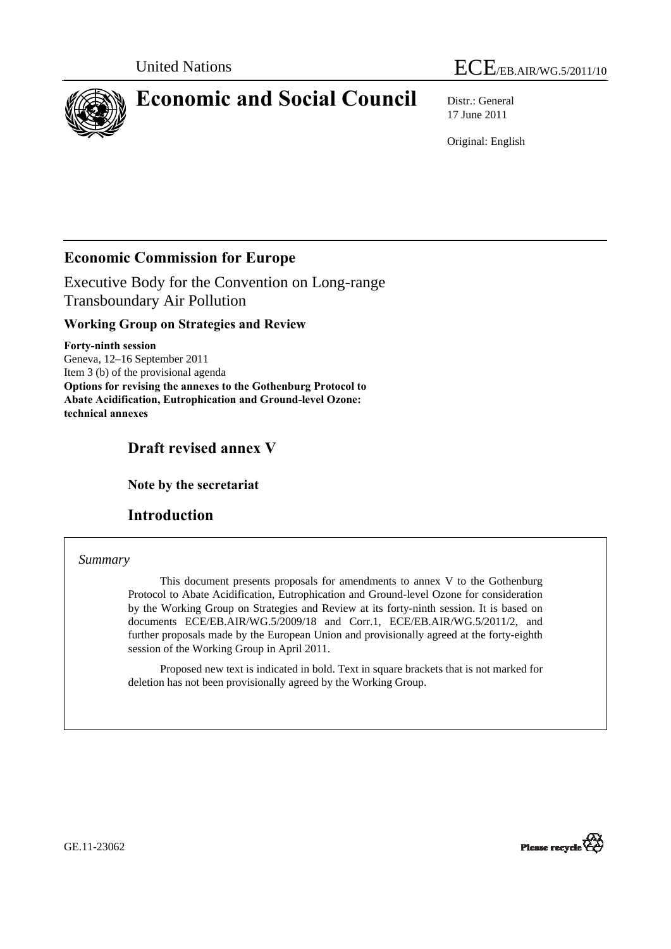



# **Economic and Social Council** Distr.: General

17 June 2011

Original: English

## **Economic Commission for Europe**

Executive Body for the Convention on Long-range Transboundary Air Pollution

## **Working Group on Strategies and Review**

**Forty-ninth session**  Geneva, 12–16 September 2011 Item 3 (b) of the provisional agenda **Options for revising the annexes to the Gothenburg Protocol to Abate Acidification, Eutrophication and Ground-level Ozone: technical annexes** 

# **Draft revised annex V**

 **Note by the secretariat** 

## **Introduction**

## *Summary*

 This document presents proposals for amendments to annex V to the Gothenburg Protocol to Abate Acidification, Eutrophication and Ground-level Ozone for consideration by the Working Group on Strategies and Review at its forty-ninth session. It is based on documents ECE/EB.AIR/WG.5/2009/18 and Corr.1, ECE/EB.AIR/WG.5/2011/2, and further proposals made by the European Union and provisionally agreed at the forty-eighth session of the Working Group in April 2011.

 Proposed new text is indicated in bold. Text in square brackets that is not marked for deletion has not been provisionally agreed by the Working Group.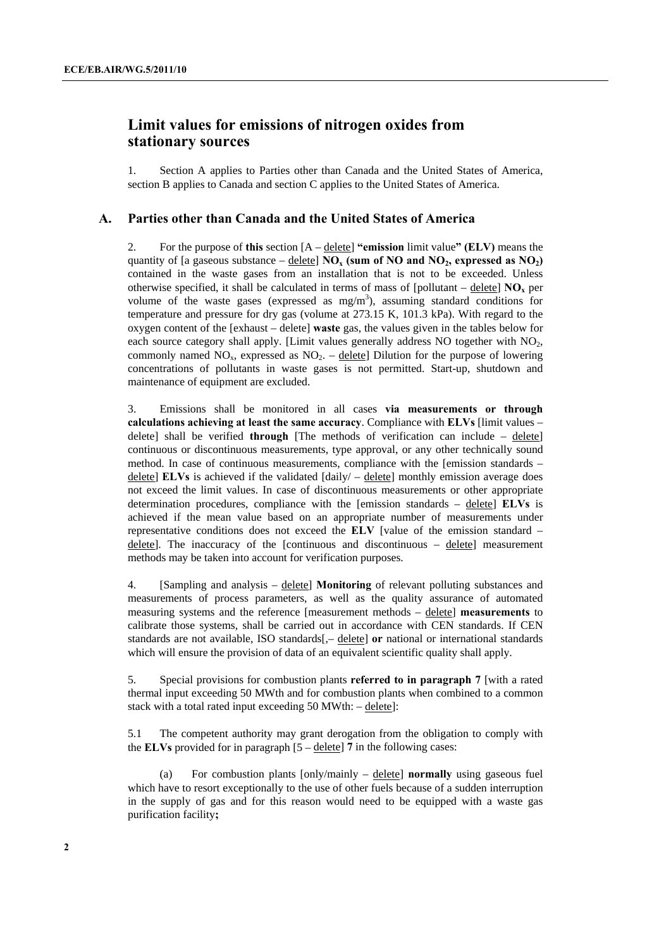## **Limit values for emissions of nitrogen oxides from stationary sources**

1. Section A applies to Parties other than Canada and the United States of America, section B applies to Canada and section C applies to the United States of America.

#### **A. Parties other than Canada and the United States of America**

2. For the purpose of **this** section [A – delete] **"emission** limit value**" (ELV)** means the quantity of [a gaseous substance – delete]  $NO_x$  (sum of NO and  $NO_2$ , expressed as  $NO_2$ ) contained in the waste gases from an installation that is not to be exceeded. Unless otherwise specified, it shall be calculated in terms of mass of [pollutant – delete]  $\overline{NO_x}$  per volume of the waste gases (expressed as  $mg/m<sup>3</sup>$ ), assuming standard conditions for temperature and pressure for dry gas (volume at 273.15 K, 101.3 kPa). With regard to the oxygen content of the [exhaust – delete] **waste** gas, the values given in the tables below for each source category shall apply. [Limit values generally address  $NO$  together with  $NO<sub>2</sub>$ , commonly named  $NO<sub>x</sub>$ , expressed as  $NO<sub>2</sub>$ . – delete) Dilution for the purpose of lowering concentrations of pollutants in waste gases is not permitted. Start-up, shutdown and maintenance of equipment are excluded.

3. Emissions shall be monitored in all cases **via measurements or through calculations achieving at least the same accuracy**. Compliance with **ELVs** [limit values – delete] shall be verified **through** [The methods of verification can include – delete] continuous or discontinuous measurements, type approval, or any other technically sound method. In case of continuous measurements, compliance with the [emission standards – delete] **ELVs** is achieved if the validated [daily/ – delete] monthly emission average does not exceed the limit values. In case of discontinuous measurements or other appropriate determination procedures, compliance with the [emission standards – delete] **ELVs** is achieved if the mean value based on an appropriate number of measurements under representative conditions does not exceed the **ELV** [value of the emission standard –  $\frac{delet}{e}$ . The inaccuracy of the [continuous and discontinuous –  $\frac{delet}{e}$ ] measurement methods may be taken into account for verification purposes.

4. [Sampling and analysis – delete] **Monitoring** of relevant polluting substances and measurements of process parameters, as well as the quality assurance of automated measuring systems and the reference [measurement methods – delete] **measurements** to calibrate those systems, shall be carried out in accordance with CEN standards. If CEN standards are not available, ISO standards[,– delete] **or** national or international standards which will ensure the provision of data of an equivalent scientific quality shall apply.

5. Special provisions for combustion plants **referred to in paragraph 7** [with a rated thermal input exceeding 50 MWth and for combustion plants when combined to a common stack with a total rated input exceeding 50 MWth: – delete]:

5.1 The competent authority may grant derogation from the obligation to comply with the **ELVs** provided for in paragraph  $[5 - \text{delete}]$  7 in the following cases:

For combustion plants  $[only/mainly - delete]$  **normally** using gaseous fuel which have to resort exceptionally to the use of other fuels because of a sudden interruption in the supply of gas and for this reason would need to be equipped with a waste gas purification facility**;**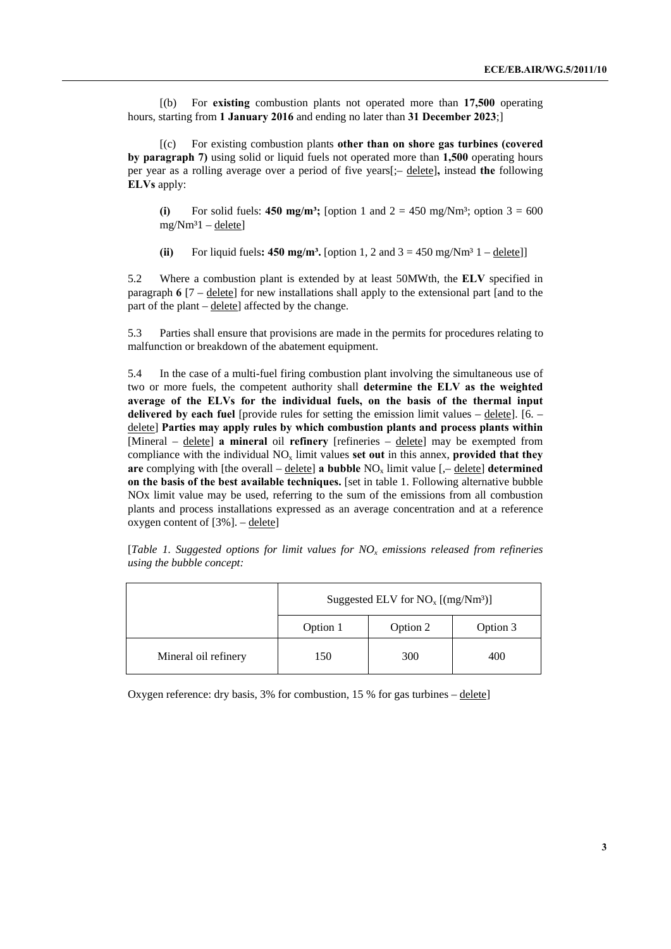[(b) For **existing** combustion plants not operated more than **17,500** operating hours, starting from **1 January 2016** and ending no later than **31 December 2023**;]

 [(c) For existing combustion plants **other than on shore gas turbines (covered by paragraph 7)** using solid or liquid fuels not operated more than **1,500** operating hours per year as a rolling average over a period of five years[;– delete]**,** instead **the** following **ELVs** apply:

**(i)** For solid fuels: **450 mg/m<sup>3</sup>;** [option 1 and  $2 = 450$  mg/Nm<sup>3</sup>; option  $3 = 600$  $mg/Nm<sup>3</sup>1$  – delete]

(ii) For liquid fuels:  $450 \text{ mg/m}^3$ . [option 1, 2 and  $3 = 450 \text{ mg/Nm}^3$  1 – delete]]

5.2 Where a combustion plant is extended by at least 50MWth, the **ELV** specified in paragraph **6** [7 – delete] for new installations shall apply to the extensional part [and to the part of the plant – delete] affected by the change.

5.3 Parties shall ensure that provisions are made in the permits for procedures relating to malfunction or breakdown of the abatement equipment.

5.4 In the case of a multi-fuel firing combustion plant involving the simultaneous use of two or more fuels, the competent authority shall **determine the ELV as the weighted average of the ELVs for the individual fuels, on the basis of the thermal input delivered by each fuel** [provide rules for setting the emission limit values – delete]. [6. – delete] **Parties may apply rules by which combustion plants and process plants within**  [Mineral – delete] **a mineral** oil **refinery** [refineries – delete] may be exempted from compliance with the individual  $NO_x$  limit values **set out** in this annex, **provided that they are** complying with [the overall –  $\text{delete}$ ] **a bubble**  $NO_x$  limit value [,–  $\text{delete}$ ] **determined on the basis of the best available techniques.** [set in table 1. Following alternative bubble NOx limit value may be used, referring to the sum of the emissions from all combustion plants and process installations expressed as an average concentration and at a reference oxygen content of [3%]. – delete]

|  | [Table 1. Suggested options for limit values for $NOx$ emissions released from refineries |  |  |  |  |  |
|--|-------------------------------------------------------------------------------------------|--|--|--|--|--|
|  | using the bubble concept:                                                                 |  |  |  |  |  |

|                      | Suggested ELV for $NO_x$ [(mg/Nm <sup>3</sup> )] |          |          |  |  |
|----------------------|--------------------------------------------------|----------|----------|--|--|
|                      | Option 1                                         | Option 2 | Option 3 |  |  |
| Mineral oil refinery | 150                                              | 300      | 400      |  |  |

Oxygen reference: dry basis, 3% for combustion, 15 % for gas turbines – delete]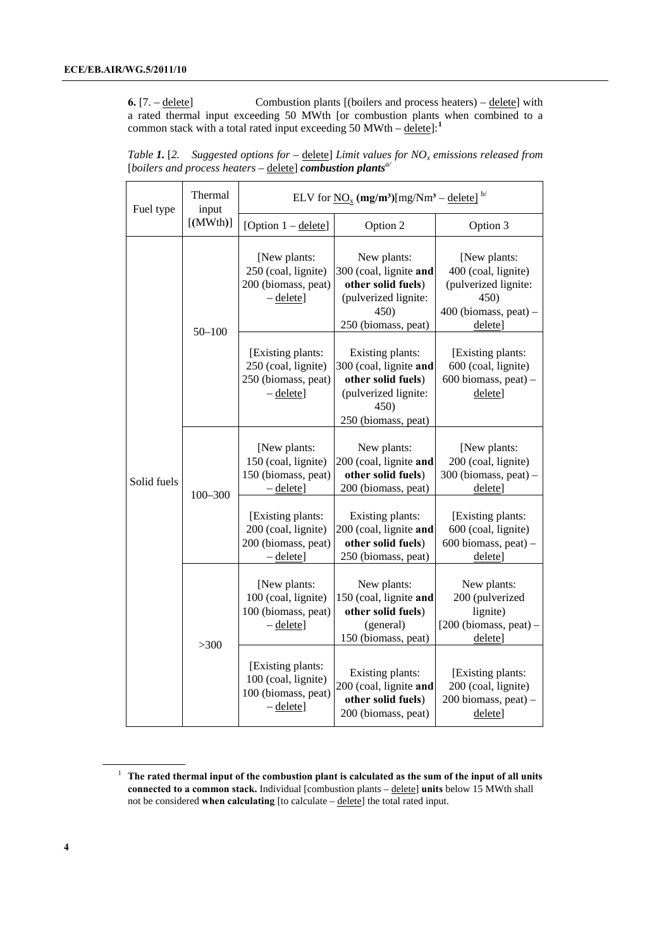<span id="page-3-0"></span>**6.** [7. – delete] Combustion plants [(boilers and process heaters) – delete] with a rated thermal input exceeding 50 MWth [or combustion plants when combined to a common stack with a total rated input exceeding 50 MWth –  $\text{delete}$ <sup>[[1](#page-3-0)</sup>]<sup>.1</sup>

*Table 1.* [2. Suggested options for  $-\text{delete}$ ] Limit values for NO<sub>x</sub> emissions released from [*boilers and process heaters* – delete] *combustion plantsa/*

| Fuel type   | Thermal<br>input | ELV for $\underline{NO}_x$ (mg/m <sup>3</sup> )[mg/Nm <sup>3</sup> – delete] <sup>b/</sup> |                                                                                                                         |                                                                                                           |  |  |
|-------------|------------------|--------------------------------------------------------------------------------------------|-------------------------------------------------------------------------------------------------------------------------|-----------------------------------------------------------------------------------------------------------|--|--|
|             | $[$ (MWth)]      | [Option 1 - delete]                                                                        | Option 2                                                                                                                | Option 3                                                                                                  |  |  |
|             | $50 - 100$       | [New plants:<br>250 (coal, lignite)<br>200 (biomass, peat)<br>$-\text{delete}$             | New plants:<br>300 (coal, lignite and<br>other solid fuels)<br>(pulverized lignite:<br>450)<br>250 (biomass, peat)      | [New plants:<br>400 (coal, lignite)<br>(pulverized lignite:<br>450)<br>$400$ (biomass, peat) –<br>delete] |  |  |
|             |                  | [Existing plants:<br>250 (coal, lignite)<br>250 (biomass, peat)<br>$-\text{delete}$        | Existing plants:<br>300 (coal, lignite and<br>other solid fuels)<br>(pulverized lignite:<br>450)<br>250 (biomass, peat) | [Existing plants:<br>600 (coal, lignite)<br>600 biomass, peat) -<br>delete]                               |  |  |
| Solid fuels | $100 - 300$      | [New plants:<br>150 (coal, lignite)<br>150 (biomass, peat)<br>$-\text{delete}$             | New plants:<br>200 (coal, lignite and<br>other solid fuels)<br>200 (biomass, peat)                                      | [New plants:<br>200 (coal, lignite)<br>$300$ (biomass, peat) –<br>delete]                                 |  |  |
|             |                  | [Existing plants:<br>200 (coal, lignite)<br>200 (biomass, peat)<br>$-\text{delete}$        | Existing plants:<br>200 (coal, lignite and<br>other solid fuels)<br>250 (biomass, peat)                                 | [Existing plants:<br>600 (coal, lignite)<br>$600$ biomass, peat) -<br>delete]                             |  |  |
|             | >300             | [New plants:<br>100 (coal, lignite)<br>100 (biomass, peat)<br>$-\text{delete}$             | New plants:<br>150 (coal, lignite and<br>other solid fuels)<br>(general)<br>150 (biomass, peat)                         | New plants:<br>200 (pulverized<br>lignite)<br>$[200 (biomass, peat) -$<br>delete]                         |  |  |
|             |                  | [Existing plants:<br>100 (coal, lignite)<br>100 (biomass, peat)<br>$-\text{delete}$        | Existing plants:<br>200 (coal, lignite and<br>other solid fuels)<br>200 (biomass, peat)                                 | [Existing plants:<br>200 (coal, lignite)<br>200 biomass, peat) -<br>delete]                               |  |  |

<sup>1</sup> **The rated thermal input of the combustion plant is calculated as the sum of the input of all units connected to a common stack.** Individual [combustion plants – delete] **units** below 15 MWth shall not be considered **when calculating** [to calculate – delete] the total rated input.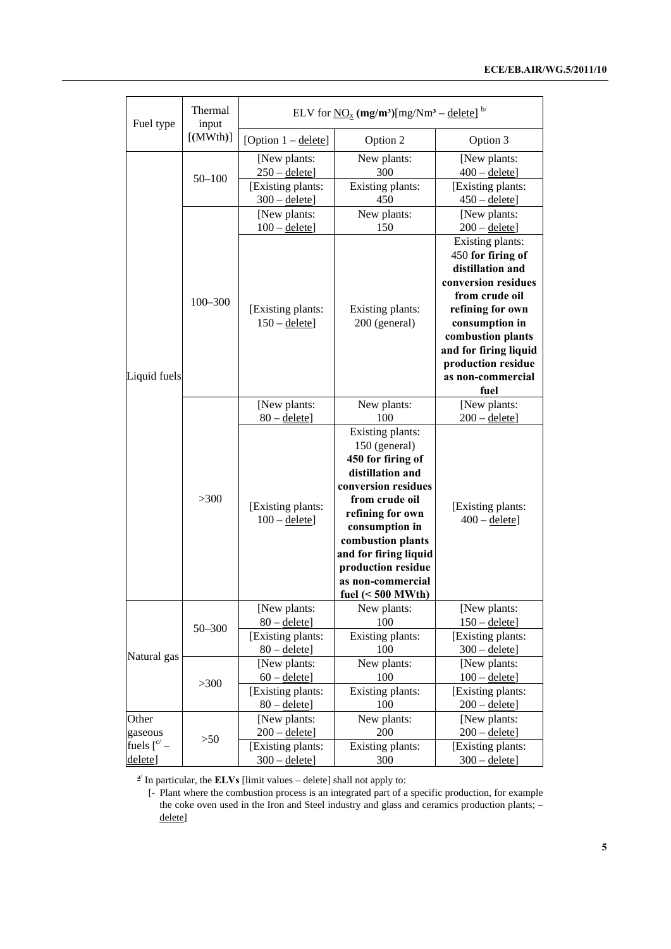|                                   | Thermal              | ELV for $\underline{NO}_x$ (mg/m <sup>3</sup> )[mg/Nm <sup>3</sup> – delete] <sup>b/</sup> |                                                                                                                                                                                                                                                                           |                                                                                                                                                                                                                                           |  |  |
|-----------------------------------|----------------------|--------------------------------------------------------------------------------------------|---------------------------------------------------------------------------------------------------------------------------------------------------------------------------------------------------------------------------------------------------------------------------|-------------------------------------------------------------------------------------------------------------------------------------------------------------------------------------------------------------------------------------------|--|--|
| Fuel type                         | input<br>$[$ (MWth)] | [Option $1 -$ delete]                                                                      | Option 2                                                                                                                                                                                                                                                                  | Option 3                                                                                                                                                                                                                                  |  |  |
|                                   | $50 - 100$           | [New plants:<br>$250 -$ delete]                                                            | New plants:<br>300                                                                                                                                                                                                                                                        | [New plants:<br>$400 -$ delete]                                                                                                                                                                                                           |  |  |
|                                   |                      | [Existing plants:<br>$300 -$ delete]                                                       | Existing plants:<br>450                                                                                                                                                                                                                                                   | [Existing plants:<br>$450 -$ delete]                                                                                                                                                                                                      |  |  |
|                                   |                      | [New plants:<br>$100 -$ delete]                                                            | New plants:<br>150                                                                                                                                                                                                                                                        | [New plants:<br>$200 -$ delete]                                                                                                                                                                                                           |  |  |
| Liquid fuels                      | $100 - 300$          | [Existing plants:<br>$150 -$ delete]                                                       | Existing plants:<br>200 (general)                                                                                                                                                                                                                                         | Existing plants:<br>450 for firing of<br>distillation and<br>conversion residues<br>from crude oil<br>refining for own<br>consumption in<br>combustion plants<br>and for firing liquid<br>production residue<br>as non-commercial<br>fuel |  |  |
|                                   |                      | [New plants:<br>$80 -$ delete]                                                             | New plants:<br>100                                                                                                                                                                                                                                                        | [New plants:<br>$200 -$ delete]                                                                                                                                                                                                           |  |  |
|                                   | >300                 | [Existing plants:<br>$100 -$ delete]                                                       | Existing plants:<br>150 (general)<br>450 for firing of<br>distillation and<br>conversion residues<br>from crude oil<br>refining for own<br>consumption in<br>combustion plants<br>and for firing liquid<br>production residue<br>as non-commercial<br>fuel $(< 500$ MWth) | [Existing plants:<br>$400 -$ delete]                                                                                                                                                                                                      |  |  |
|                                   | $50 - 300$           | [New plants:<br>$80 -$ delete]<br>[Existing plants:                                        | New plants:<br>100<br>Existing plants:                                                                                                                                                                                                                                    | [New plants:<br>$150 -$ delete]<br>[Existing plants:                                                                                                                                                                                      |  |  |
| Natural gas                       | >300                 | $80 -$ delete]<br>[New plants:<br>$60 -$ delete]<br>[Existing plants:<br>$80 -$ delete]    | 100<br>New plants:<br>100<br>Existing plants:<br>100                                                                                                                                                                                                                      | $300 -$ delete]<br>[New plants:<br>$100 -$ delete]<br>[Existing plants:<br>$200 -$ delete]                                                                                                                                                |  |  |
| Other<br>gaseous                  | >50                  | [New plants:<br>$200 -$ delete]                                                            | New plants:<br>200                                                                                                                                                                                                                                                        | [New plants:<br>$200 -$ delete]                                                                                                                                                                                                           |  |  |
| fuels $\int_{0}^{c/-}$<br>delete] |                      | [Existing plants:<br>$300 -$ delete]                                                       | Existing plants:<br>300                                                                                                                                                                                                                                                   | [Existing plants:<br>$300 -$ delete]                                                                                                                                                                                                      |  |  |

 $\frac{a}{a}$  In particular, the **ELVs** [limit values – delete] shall not apply to:

 [- Plant where the combustion process is an integrated part of a specific production, for example the coke oven used in the Iron and Steel industry and glass and ceramics production plants; – delete]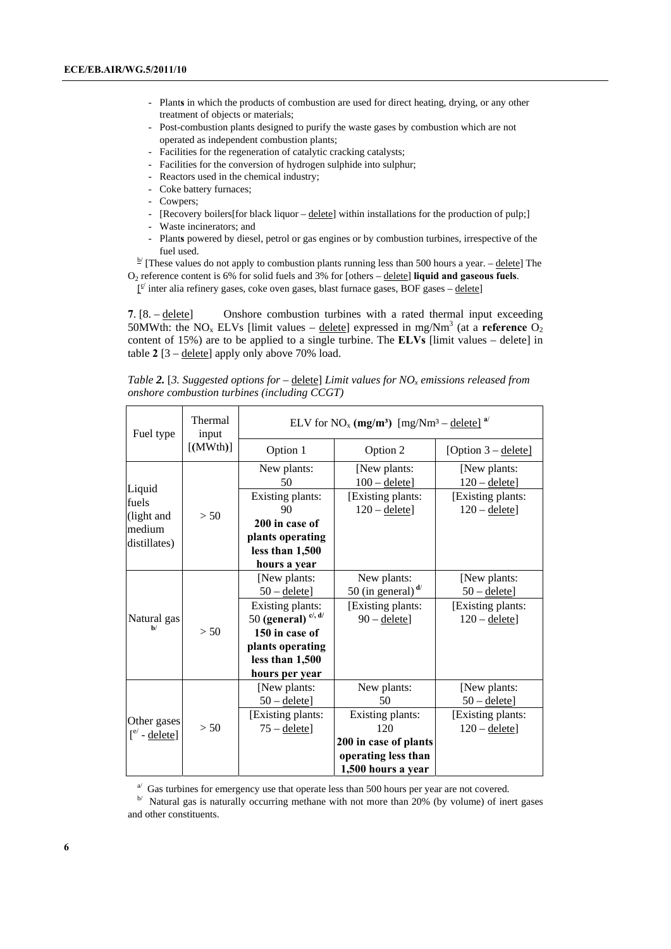- Plant**s** in which the products of combustion are used for direct heating, drying, or any other treatment of objects or materials;
- Post-combustion plants designed to purify the waste gases by combustion which are not operated as independent combustion plants;
- Facilities for the regeneration of catalytic cracking catalysts;
- Facilities for the conversion of hydrogen sulphide into sulphur;
- Reactors used in the chemical industry;
- Coke battery furnaces;
- Cowpers;
- [Recovery boilers[for black liquor delete] within installations for the production of pulp;]
- Waste incinerators; and
- Plant**s** powered by diesel, petrol or gas engines or by combustion turbines, irrespective of the

fuel used.<br><sup>b/</sup> [These values do not apply to combustion plants running less than 500 hours a year. – <u>delete</u>] The

O2 reference content is 6% for solid fuels and 3% for [others – delete] **liquid and gaseous fuels**.  $I^{\le}$  inter alia refinery gases, coke oven gases, blast furnace gases, BOF gases – delete]

**7**. [8. – delete] Onshore combustion turbines with a rated thermal input exceeding 50MWth: the  $NO_x$  ELVs [limit values – delete] expressed in mg/Nm<sup>3</sup> (at a **reference**  $O_2$ content of 15%) are to be applied to a single turbine. The **ELVs** [limit values – delete] in table **2** [3 – delete] apply only above 70% load.

*Table 2.* [3. Suggested options for – delete] Limit values for NO<sub>x</sub> emissions released from *onshore combustion turbines (including CCGT)* 

| Fuel type                             | Thermal<br>input | ELV for NO <sub>x</sub> (mg/m <sup>3</sup> ) [mg/Nm <sup>3</sup> – delete] <sup>a/</sup> |                                                                    |                                      |  |  |
|---------------------------------------|------------------|------------------------------------------------------------------------------------------|--------------------------------------------------------------------|--------------------------------------|--|--|
|                                       | $[$ (MWth)]      | Option 1                                                                                 | Option 2                                                           | [Option 3 – delete]                  |  |  |
| Liquid                                |                  | New plants:<br>50                                                                        | [New plants:<br>$100 -$ delete]                                    | [New plants:<br>$120 -$ delete]      |  |  |
| fuels<br>(light and                   | > 50             | Existing plants:<br>90                                                                   | [Existing plants:<br>$120 -$ delete]                               | [Existing plants:<br>$120 -$ delete] |  |  |
| medium<br>distillates)                |                  | 200 in case of<br>plants operating<br>less than 1,500<br>hours a year                    |                                                                    |                                      |  |  |
|                                       |                  | [New plants:<br>$50 -$ delete]                                                           | New plants:<br>50 (in general) $\mathbf{d}$                        | [New plants:<br>$50 -$ delete]       |  |  |
| Natural gas<br>h/                     |                  | Existing plants:<br>50 (general) $ci$ , d/                                               | [Existing plants:<br>$90 -$ delete]                                | [Existing plants:<br>$120 -$ delete] |  |  |
|                                       | > 50             | 150 in case of<br>plants operating<br>less than 1,500<br>hours per year                  |                                                                    |                                      |  |  |
|                                       |                  | [New plants:<br>$50 -$ delete]                                                           | New plants:<br>50                                                  | [New plants:<br>$50 -$ delete]       |  |  |
| Other gases<br>$\int e^{e}$ - delete] | > 50             | [Existing plants:<br>$75 -$ delete]                                                      | Existing plants:<br>120                                            | [Existing plants:<br>$120 -$ delete] |  |  |
|                                       |                  |                                                                                          | 200 in case of plants<br>operating less than<br>1,500 hours a year |                                      |  |  |

 $A$ <sup>b</sup> Gas turbines for emergency use that operate less than 500 hours per year are not covered.<br><sup>b/</sup> Natural gas is naturally occurring methane with not more than 20% (by volume) of inert gases and other constituents.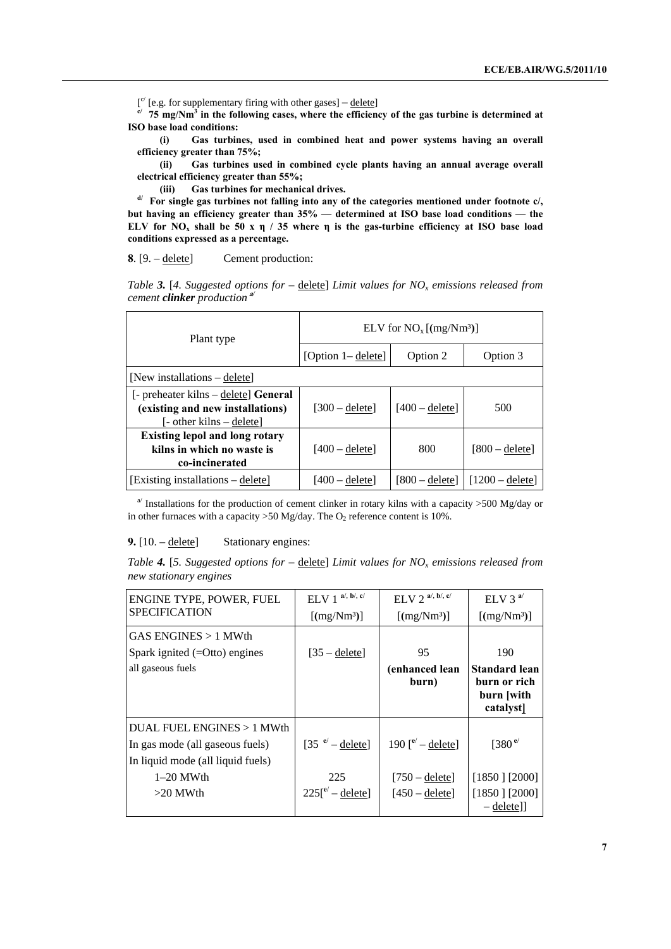$[{}^{c'}$  [e.g. for supplementary firing with other gases] – delete]

 $c^{\prime}$  75 mg/Nm<sup>3</sup> in the following cases, where the efficiency of the gas turbine is determined at **ISO base load conditions:** 

 **(i) Gas turbines, used in combined heat and power systems having an overall efficiency greater than 75%;** 

 **(ii) Gas turbines used in combined cycle plants having an annual average overall electrical efficiency greater than 55%;** 

**(iii)** Gas turbines for mechanical drives.<br>d/ For single gas turbines not falling into any of the categories mentioned under footnote c/, **but having an efficiency greater than 35% — determined at ISO base load conditions — the ELV** for  $NO<sub>x</sub>$  shall be 50 x **η** / 35 where **η** is the gas-turbine efficiency at ISO base load **conditions expressed as a percentage.**

**8**. [9. – delete] Cement production:

|                                                | Table 3. [4. Suggested options for $-\underline{\text{delete}}$ ] Limit values for NO <sub>x</sub> emissions released from |
|------------------------------------------------|----------------------------------------------------------------------------------------------------------------------------|
| cement <b>clinker</b> production <sup>a'</sup> |                                                                                                                            |

| Plant type                                                                                           | ELV for $NO_x$ [(mg/Nm <sup>3</sup> )] |                  |                  |  |  |
|------------------------------------------------------------------------------------------------------|----------------------------------------|------------------|------------------|--|--|
|                                                                                                      | [Option $1 -$ delete]                  | Option 2         | Option 3         |  |  |
| [New installations $-\text{delete}$ ]                                                                |                                        |                  |                  |  |  |
| [- preheater kilns – delete] General<br>(existing and new installations)<br>[- other kilns – delete] | $[300 -$ delete]                       | $[400 -$ delete] | 500              |  |  |
| <b>Existing lepol and long rotary</b><br>kilns in which no waste is<br>co-incinerated                | $[400 -$ delete]                       | 800              | $[800 -$ deletel |  |  |
| [Existing installations – delete]                                                                    | [400 – delete]                         | $[800 -$ deletel | $1200 -$ deletel |  |  |

<sup>a</sup> Installations for the production of cement clinker in rotary kilns with a capacity  $>500$  Mg/day or in other furnaces with a capacity  $>50$  Mg/day. The O<sub>2</sub> reference content is 10%.

#### **9.** [10. – delete] Stationary engines:

|                        | Table 4. [5. Suggested options for $-\underline{\text{delete}}$ Limit values for NO <sub>x</sub> emissions released from |
|------------------------|--------------------------------------------------------------------------------------------------------------------------|
| new stationary engines |                                                                                                                          |

| ENGINE TYPE, POWER, FUEL          | $\mathbf{a}^{\prime},\,\mathbf{b}^{\prime},\,\mathbf{c}^{\prime}$<br>ELV <sub>1</sub> | $ELV$ 2 <sup>a/, b/, c/</sup>        | ELV 3 $a$ <sup><math>\prime</math></sup>                        |
|-----------------------------------|---------------------------------------------------------------------------------------|--------------------------------------|-----------------------------------------------------------------|
| <b>SPECIFICATION</b>              | [(mg/Nm <sup>3</sup> )]                                                               | [(mg/Nm <sup>3</sup> )]              | [(mg/Nm <sup>3</sup> )]                                         |
| GAS ENGINES > 1 MWth              |                                                                                       |                                      |                                                                 |
| Spark ignited $(=Otto)$ engines   | $[35 -$ delete]                                                                       | 95                                   | 190                                                             |
| all gaseous fuels                 |                                                                                       | (enhanced lean<br>burn)              | <b>Standard lean</b><br>burn or rich<br>burn [with<br>catalyst] |
| DUAL FUEL ENGINES $>1$ MWth       |                                                                                       |                                      |                                                                 |
| In gas mode (all gaseous fuels)   | $[35 \text{ }^{\circ}$ – delete]                                                      | 190 $\int_{e^{-}}^{e^{t}} -$ delete] | [380 $e$ <sup><math>\prime</math></sup>                         |
| In liquid mode (all liquid fuels) |                                                                                       |                                      |                                                                 |
| $1-20$ MWth                       | 225                                                                                   | $[750 -$ delete]                     | $[1850]$ [2000]                                                 |
| $>20$ MWth                        | $225$ [ $e'$ – delete]                                                                | $[450 -$ delete]                     | $[1850]$ [2000]<br>$-\text{delete}$                             |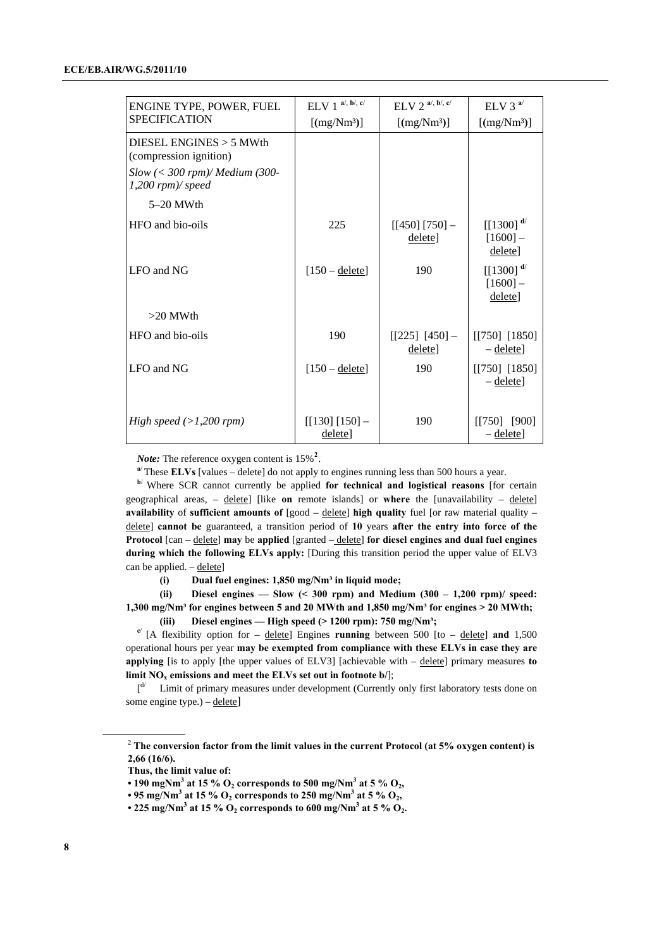<span id="page-7-0"></span>

| ENGINE TYPE, POWER, FUEL                             | $ELV 1$ <sup>a/, b/, c/</sup> | $ELV$ 2 <sup>a/, b/, c/</sup> | ELV 3 $a$ <sup><math>\prime</math></sup> |
|------------------------------------------------------|-------------------------------|-------------------------------|------------------------------------------|
| <b>SPECIFICATION</b>                                 | [(mg/Nm <sup>3</sup> )]       | [(mg/Nm <sup>3</sup> )]       | [(mg/Nm <sup>3</sup> )]                  |
| DIESEL ENGINES $>$ 5 MWth<br>(compression ignition)  |                               |                               |                                          |
| $Slow \ (300 \; rpm)/ Medium (300-1,200 rpm)/ speed$ |                               |                               |                                          |
| $5-20$ MWth                                          |                               |                               |                                          |
| HFO and bio-oils                                     | 225                           | $[[450] [750] -$<br>delete]   | $[[1300]^{d}$<br>$[1600] -$<br>delete]   |
| LFO and NG                                           | $[150 - \text{delete}]$       | 190                           | $[[1300]^{d}$<br>$[1600] -$<br>delete]   |
| $>20$ MWth                                           |                               |                               |                                          |
| HFO and bio-oils                                     | 190                           | $[[225] [450] -$<br>delete]   | $[750]$ [1850]<br>$-\text{delete}$       |
| LFO and NG                                           | $[150 -$ delete]              | 190                           | $[750]$ [1850]<br>$-\text{delete}$       |
| High speed $(>1,200$ rpm)                            | $[[130] [150] -$<br>delete]   | 190                           | [[750] [900]<br>$-\text{delete}$         |

*Note:* The reference oxygen content is 15%**[2](#page-7-0)** .

**<sup>a</sup>**/ These **ELVs** [values – delete] do not apply to engines running less than 500 hours a year.

**<sup>b</sup>**/ Where SCR cannot currently be applied **for technical and logistical reasons** [for certain geographical areas, – delete] [like **on** remote islands] or **where** the [unavailability – delete] **availability** of **sufficient amounts of** [good – delete] **high quality** fuel [or raw material quality – delete] **cannot be** guaranteed, a transition period of **10** years **after the entry into force of the Protocol** [can – delete] **may** be **applied** [granted – delete] **for diesel engines and dual fuel engines during which the following ELVs apply:** [During this transition period the upper value of ELV3 can be applied.  $-\underline{\text{delete}}$ 

 **(i) Dual fuel engines: 1,850 mg/Nm³ in liquid mode;** 

 **(ii) Diesel engines — Slow (< 300 rpm) and Medium (300 – 1,200 rpm)/ speed: 1,300 mg/Nm³ for engines between 5 and 20 MWth and 1,850 mg/Nm³ for engines > 20 MWth;** 

 **(iii) Diesel engines — High speed (> 1200 rpm): 750 mg/Nm³;** 

**<sup>c</sup>**/ [A flexibility option for – delete] Engines **running** between 500 [to – delete] **and** 1,500 operational hours per year **may be exempted from compliance with these ELVs in case they are applying** [is to apply [the upper values of ELV3] [achievable with – delete] primary measures **to limit NO<sub>x</sub> emissions and meet the ELVs set out in footnote**  $b$ **/];** 

 $\left[ \begin{matrix} d' & \text{Limit of primary measures under development (Currently only first laboratory tests done on } \end{matrix} \right]$ some engine type.) – delete]

<sup>&</sup>lt;sup>2</sup> The conversion factor from the limit values in the current Protocol (at 5% oxygen content) is **2,66 (16/6).** 

**Thus, the limit value of:** 

<sup>• 190</sup> mgNm<sup>3</sup> at 15 %  $O_2$  corresponds to 500 mg/Nm<sup>3</sup> at 5 %  $O_2$ ,

 $\cdot$  95 mg/Nm<sup>3</sup> at 15 % O<sub>2</sub> corresponds to 250 mg/Nm<sup>3</sup> at 5 % O<sub>2</sub>,

<sup>• 225</sup> mg/Nm<sup>3</sup> at 15 %  $O_2$  corresponds to 600 mg/Nm<sup>3</sup> at 5 %  $O_2$ .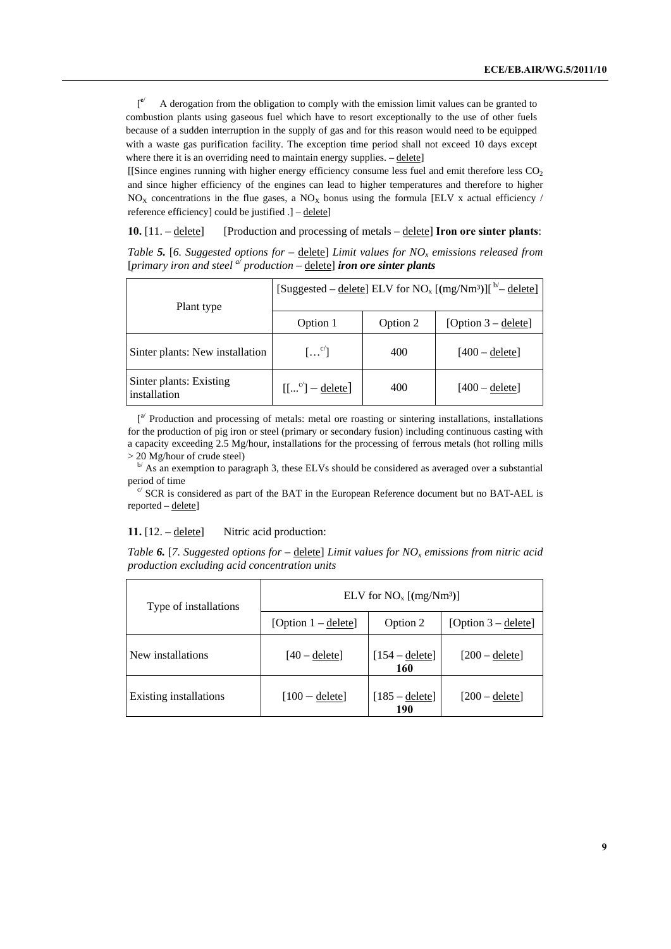[ **e**/ A derogation from the obligation to comply with the emission limit values can be granted to combustion plants using gaseous fuel which have to resort exceptionally to the use of other fuels because of a sudden interruption in the supply of gas and for this reason would need to be equipped with a waste gas purification facility. The exception time period shall not exceed 10 days except where there it is an overriding need to maintain energy supplies.  $-\text{delete}$ 

[[Since engines running with higher energy efficiency consume less fuel and emit therefore less CO2 and since higher efficiency of the engines can lead to higher temperatures and therefore to higher  $NO<sub>X</sub>$  concentrations in the flue gases, a  $NO<sub>X</sub>$  bonus using the formula [ELV x actual efficiency / reference efficiency] could be justified .] – delete]

#### **10.** [11. – delete] [Production and processing of metals – delete] **Iron ore sinter plants**:

*Table* 5. [6. Suggested options for – delete] Limit values for  $NO<sub>x</sub>$  emissions released from [*primary iron and steel a/ production* – delete] *iron ore sinter plants*

| Plant type                              | [Suggested – delete] ELV for NO <sub>x</sub> [(mg/Nm <sup>3</sup> )][ <sup>b'</sup> – delete] |          |                       |  |  |
|-----------------------------------------|-----------------------------------------------------------------------------------------------|----------|-----------------------|--|--|
|                                         | Option 1                                                                                      | Option 2 | [Option $3 -$ delete] |  |  |
| Sinter plants: New installation         | $\left[\ldots^{c'}\right]$                                                                    | 400      | $[400 -$ deletel      |  |  |
| Sinter plants: Existing<br>installation | $[[^c] -$ delete]                                                                             | 400      | $[400 -$ deletel      |  |  |

[<sup>a/</sup> Production and processing of metals: metal ore roasting or sintering installations, installations for the production of pig iron or steel (primary or secondary fusion) including continuous casting with a capacity exceeding 2.5 Mg/hour, installations for the processing of ferrous metals (hot rolling mills

 $>$  20 Mg/hour of crude steel)<br><sup>b/</sup> As an exemption to paragraph 3, these ELVs should be considered as averaged over a substantial period of time<br>
<sup>c/</sup> SCR is considered as part of the BAT in the European Reference document but no BAT-AEL is

reported – delete]

**11.** [12. – delete] Nitric acid production:

*Table* 6. [7. Suggested options for – delete] Limit values for NO<sub>x</sub> emissions from nitric acid *production excluding acid concentration units* 

| Type of installations  | ELV for $NO_x$ [(mg/Nm <sup>3</sup> )] |                                |                       |  |  |
|------------------------|----------------------------------------|--------------------------------|-----------------------|--|--|
|                        | [Option $1 -$ delete]                  | Option 2                       | [Option $3 -$ delete] |  |  |
| New installations      | $[40 -$ delete]                        | $[154 - \text{delete}]$<br>160 | $[200 -$ delete]      |  |  |
| Existing installations | $[100 -$ delete]                       | $[185 - \text{delete}]$<br>190 | $[200 -$ delete]      |  |  |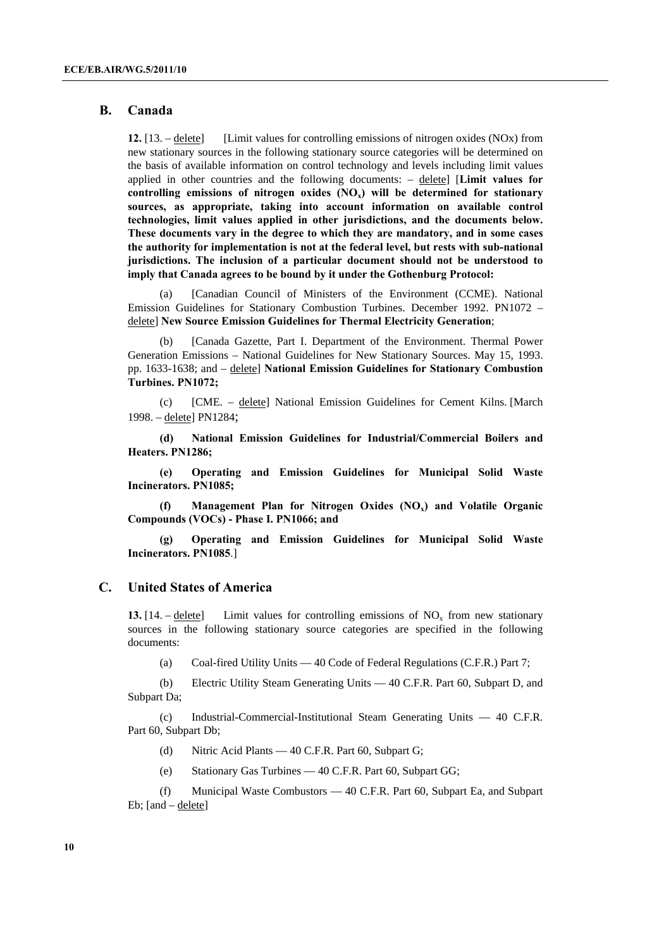#### **B. Canada**

**12.** [13. – delete] [Limit values for controlling emissions of nitrogen oxides (NOx) from new stationary sources in the following stationary source categories will be determined on the basis of available information on control technology and levels including limit values applied in other countries and the following documents: – delete] [**Limit values for**  controlling emissions of nitrogen oxides  $(NO<sub>x</sub>)$  will be determined for stationary **sources, as appropriate, taking into account information on available control technologies, limit values applied in other jurisdictions, and the documents below. These documents vary in the degree to which they are mandatory, and in some cases the authority for implementation is not at the federal level, but rests with sub-national jurisdictions. The inclusion of a particular document should not be understood to imply that Canada agrees to be bound by it under the Gothenburg Protocol:**

(a) [Canadian Council of Ministers of the Environment (CCME). National Emission Guidelines for Stationary Combustion Turbines. December 1992. PN1072 – delete] **New Source Emission Guidelines for Thermal Electricity Generation**;

(b) [Canada Gazette, Part I. Department of the Environment. Thermal Power Generation Emissions – National Guidelines for New Stationary Sources. May 15, 1993. pp. 1633-1638; and – delete] **National Emission Guidelines for Stationary Combustion Turbines. PN1072;**

(c) [CME. – delete] National Emission Guidelines for Cement Kilns. [March 1998. – delete] PN1284;

**(d) National Emission Guidelines for Industrial/Commercial Boilers and Heaters. PN1286;** 

**(e) [Operating and Emission Guidelines for Municipal Solid Waste](http://www.ccme.ca/assets/pdf/pn_1085_e.pdf)  [Incinerators. PN1085;](http://www.ccme.ca/assets/pdf/pn_1085_e.pdf)** 

**(f) Management Plan for Nitrogen Oxides (NOx) and Volatile Organic Compounds (VOCs) - Phase I. PN1066; and** 

**(g) Operating and Emission Guidelines for Municipal Solid Waste Incinerators. PN1085**.]

### **C. United States of America**

**13.** [14. – delete] Limit values for controlling emissions of  $NO<sub>x</sub>$  from new stationary sources in the following stationary source categories are specified in the following documents:

(a) Coal-fired Utility Units — 40 Code of Federal Regulations (C.F.R.) Part 7;

(b) Electric Utility Steam Generating Units — 40 C.F.R. Part 60, Subpart D, and Subpart Da;

(c) Industrial-Commercial-Institutional Steam Generating Units — 40 C.F.R. Part 60, Subpart Db;

- (d) Nitric Acid Plants 40 C.F.R. Part 60, Subpart G;
- (e) Stationary Gas Turbines 40 C.F.R. Part 60, Subpart GG;

(f) Municipal Waste Combustors — 40 C.F.R. Part 60, Subpart Ea, and Subpart Eb; [and – delete]